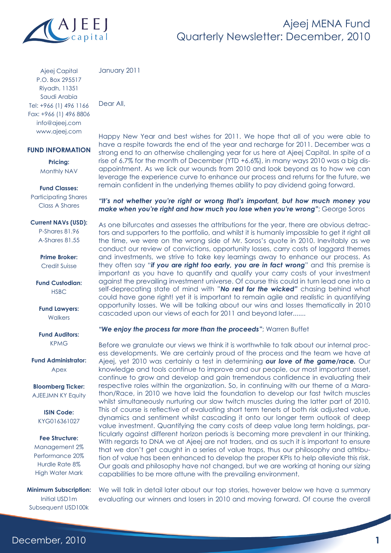

Ajeej Capital P.O. Box 295517 Riyadh, 11351 Saudi Arabia Tel: +966 (1) 496 1166 Fax: +966 (1) 496 8806 info@ajeej.com www.ajeej.com

#### **FUND INFORMATION**

**Pricing:**  Monthly NAV

#### **Fund Classes:**

Participating Shares Class A Shares

**Current NAVs (USD):** 

P-Shares 81.96 A-Shares 81.55

**Prime Broker:**  Credit Suisse

**Fund Custodian: HSBC** 

**Fund Lawyers: Walkers** 

**Fund Auditors:**  KPMG

**Fund Administrator:**  Apex

**Bloomberg Ticker:**  AJEEJMN KY Equity

> **ISIN Code:**  KYG016361027

**Fee Structure:** 

Management 2% Performance 20% Hurdle Rate 8% High Water Mark

**Minimum Subscription:**  Initial USD1m Subsequent USD100k

January 2011

Dear All,

Happy New Year and best wishes for 2011. We hope that all of you were able to have a respite towards the end of the year and recharge for 2011. December was a strong end to an otherwise challenging year for us here at Ajeej Capital. In spite of a rise of 6.7% for the month of December (YTD +6.6%), in many ways 2010 was a big disappointment. As we lick our wounds from 2010 and look beyond as to how we can leverage the experience curve to enhance our process and returns for the future, we remain confident in the underlying themes ability to pay dividend going forward.

#### *"It's not whether you're right or wrong that's important, but how much money you make when you're right and how much you lose when you're wrong"*; George Soros

As one bifurcates and assesses the attributions for the year, there are obvious detractors and supporters to the portfolio, and whilst it is humanly impossible to get it right all the time, we were on the wrong side of Mr. Soros's quote in 2010. Inevitably as we conduct our review of convictions, opportunity losses, carry costs of laggard themes and investments, we strive to take key learnings away to enhance our process. As they often say "*if you are right too early, you are in fact wrong*" and this premise is important as you have to quantify and qualify your carry costs of your investment against the prevailing investment universe. Of course this could in turn lead one into a self-deprecating state of mind with "*No rest for the wicked"* chasing behind what could have gone right! yet it is important to remain agile and realistic in quantifying opportunity losses. We will be talking about our wins and losses thematically in 2010 cascaded upon our views of each for 2011 and beyond later.......

#### *"We enjoy the process far more than the proceeds"*; Warren Buffet

Before we granulate our views we think it is worthwhile to talk about our internal process developments. We are certainly proud of the process and the team we have at Ajeej, yet 2010 was certainly a test in determining *our love of the game/race.* Our knowledge and tools continue to improve and our people, our most important asset, continue to grow and develop and gain tremendous confidence in evaluating their respective roles within the organization. So, in continuing with our theme of a Marathon/Race, in 2010 we have laid the foundation to develop our fast twitch muscles whilst simultaneously nurturing our slow twitch muscles during the latter part of 2010. This of course is reflective of evaluating short term tenets of both risk adjusted value, dynamics and sentiment whilst cascading it onto our longer term outlook of deep value investment. Quantifying the carry costs of deep value long term holdings, particularly against different horizon periods is becoming more prevalent in our thinking. With regards to DNA we at Ajeej are not traders, and as such it is important to ensure that we don't get caught in a series of value traps, thus our philosophy and attribution of value has been enhanced to develop the proper KPIs to help alleviate this risk. Our goals and philosophy have not changed, but we are working at honing our sizing capabilities to be more attune with the prevailing environment.

We will talk in detail later about our top stories, however below we have a summary evaluating our winners and losers in 2010 and moving forward. Of course the overall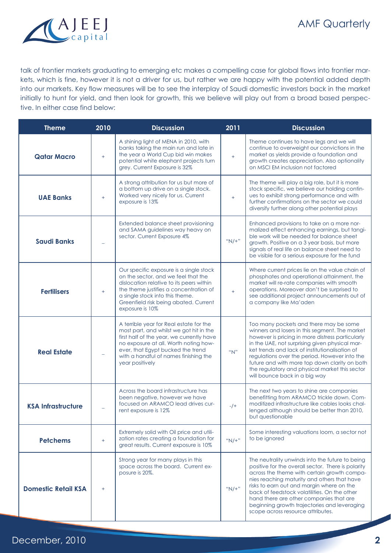

## **AMF Quarterly**

talk of frontier markets graduating to emerging etc makes a compelling case for global flows into frontier markets, which is fine, however it is not a driver for us, but rather we are happy with the potential added depth into our markets. Key flow measures will be to see the interplay of Saudi domestic investors back in the market initially to hunt for yield, and then look for growth, this we believe will play out from a broad based perspective. In either case find below:

| <b>Theme</b>                      | 2010      | <b>Discussion</b>                                                                                                                                                                                                                                                         | 2011    | <b>Discussion</b>                                                                                                                                                                                                                                                                                                                                                                                                                     |
|-----------------------------------|-----------|---------------------------------------------------------------------------------------------------------------------------------------------------------------------------------------------------------------------------------------------------------------------------|---------|---------------------------------------------------------------------------------------------------------------------------------------------------------------------------------------------------------------------------------------------------------------------------------------------------------------------------------------------------------------------------------------------------------------------------------------|
| <b>Qatar Macro</b>                | $\ddot{}$ | A shining light of MENA in 2010, with<br>banks taking the main run and late in<br>the year a World Cup bid win makes<br>potential white elephant projects turn<br>grey. Current Exposure is 32%                                                                           | $+$     | Theme continues to have legs and we will<br>continue to overweight our convictions in the<br>market as yields provide a foundation and<br>growth creates appreciation. Also optionality<br>on MSCI EM inclusion not factored                                                                                                                                                                                                          |
| <b>UAE Banks</b>                  | $+$       | A strong attribution for us but more of<br>a bottom up drive on a single stock.<br>Worked very nicely for us. Current<br>exposure is 13%                                                                                                                                  | $^{+}$  | The theme will play a big role, but it is more<br>stock specific, we believe our holding contin-<br>ues to exhibit strong performance and with<br>further confirmations on the sector we could<br>diversify further along other potential plays                                                                                                                                                                                       |
| <b>Saudi Banks</b>                |           | Extended balance sheet provisioning<br>and SAMA guidelines way heavy on<br>sector. Current Exposure 4%                                                                                                                                                                    | $"N/+"$ | Enhanced provisions to take on a more nor-<br>malized effect enhancing earnings, but tangi-<br>ble work will be needed for balance sheet<br>growth. Positive on a 3 year basis, but more<br>signals of real life on balance sheet need to<br>be visible for a serious exposure for the fund                                                                                                                                           |
| <b>Fertilisers</b>                | $+$       | Our specific exposure is a single stock<br>on the sector, and we feel that the<br>dislocation relative to its peers within<br>the theme justifies a concentration of<br>a single stock into this theme.<br>Greenfield risk being abated. Current<br>exposure is 10%       | $+$     | Where current prices lie on the value chain of<br>phosphates and operational attainment, the<br>market will re-rate companies with smooth<br>operations. Moreover don't be surprised to<br>see additional project announcements out of<br>a company like Ma'aden                                                                                                                                                                      |
| <b>Real Estate</b>                |           | A terrible year for Real estate for the<br>most part, and whilst we got hit in the<br>first half of the year, we currently have<br>no exposure at all. Worth noting how-<br>ever, that Egypt bucked the trend<br>with a handful of names finishing the<br>year positively | "N"     | Too many pockets and there may be some<br>winners and losers in this segment. The market<br>however is pricing in more distress particularly<br>in the UAE, not surprising given physical mar-<br>ket trends and lack of institutionalisation of<br>regulations over the period. However into the<br>future and with more top down clarity on both<br>the regulatory and physical market this sector<br>will bounce back in a big way |
| <b>KSA Infrastructure</b>         |           | Across the board infrastructure has<br>been negative, however we have<br>focused on ARAMCO lead drives cur-<br>rent exposure is 12%                                                                                                                                       | $-/+$   | The next two years to shine are companies<br>benefitting from ARAMCO trickle down. Com-<br>moditized infrastructure like cables looks chal-<br>lenged although should be better than 2010,<br>but questionable                                                                                                                                                                                                                        |
| <b>Petchems</b>                   | $+$       | Extremely solid with Oil price and utili-<br>zation rates creating a foundation for<br>great results. Current exposure is 10%                                                                                                                                             | $"N/+"$ | Some interesting valuations loom, a sector not<br>to be ignored                                                                                                                                                                                                                                                                                                                                                                       |
| <b>Domestic Retail KSA</b><br>$+$ |           | Strong year for many plays in this<br>space across the board. Current ex-<br>posure is 20%.                                                                                                                                                                               | $"N/+"$ | The neutrality unwinds into the future to being<br>positive for the overall sector. There is polarity<br>across the theme with certain growth compa-<br>nies reaching maturity and others that have<br>risks to earn out and margin where on the<br>back of feedstock volatilities. On the other<br>hand there are other companies that are<br>beginning growth trajectories and leveraging<br>scope across resource attributes.      |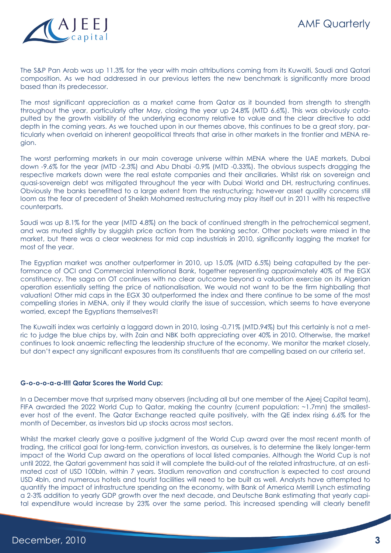The S&P Pan Arab was up 11.3% for the year with main attributions coming from its Kuwaiti, Saudi and Qatari composition. As we had addressed in our previous letters the new benchmark is significantly more broad based than its predecessor.

The most significant appreciation as a market came from Qatar as it bounded from strength to strength throughout the year, particularly after May, closing the year up 24.8% (MTD 6.6%). This was obviously catapulted by the growth visibility of the underlying economy relative to value and the clear directive to add depth in the coming years. As we touched upon in our themes above, this continues to be a great story, particularly when overlaid on inherent geopolitical threats that arise in other markets in the frontier and MENA region.

The worst performing markets in our main coverage universe within MENA where the UAE markets, Dubai down -9.6% for the year (MTD -2.3%) and Abu Dhabi -0.9% (MTD -0.33%). The obvious suspects dragging the respective markets down were the real estate companies and their ancillaries. Whilst risk on sovereign and quasi-sovereign debt was mitigated throughout the year with Dubai World and DH, restructuring continues. Obviously the banks benefitted to a large extent from the restructuring; however asset quality concerns still loom as the fear of precedent of Sheikh Mohamed restructuring may play itself out in 2011 with his respective counterparts.

Saudi was up 8.1% for the year (MTD 4.8%) on the back of continued strength in the petrochemical segment, and was muted slightly by sluggish price action from the banking sector. Other pockets were mixed in the market, but there was a clear weakness for mid cap industrials in 2010, significantly lagging the market for most of the year.

The Egyptian market was another outperformer in 2010, up 15.0% (MTD 6.5%) being catapulted by the performance of OCI and Commercial International Bank, together representing approximately 40% of the EGX constituency. The saga on OT continues with no clear outcome beyond a valuation exercise on its Algerian operation essentially setting the price of nationalisation. We would not want to be the firm highballing that valuation! Other mid caps in the EGX 30 outperformed the index and there continue to be some of the most compelling stories in MENA, only if they would clarify the issue of succession, which seems to have everyone worried, except the Egyptians themselves?!

The Kuwaiti index was certainly a laggard down in 2010, losing -0.71% (MTD.94%) but this certainly is not a metric to judge the blue chips by, with Zain and NBK both appreciating over 40% in 2010. Otherwise, the market continues to look anaemic reflecting the leadership structure of the economy. We monitor the market closely, but don't expect any significant exposures from its constituents that are compelling based on our criteria set.

### **G-o-o-o-a-a-l!!! Qatar Scores the World Cup:**

In a December move that surprised many observers (including all but one member of the Ajeej Capital team), FIFA awarded the 2022 World Cup to Qatar, making the country (current population: ~1.7mn) the smallestever host of the event. The Qatar Exchange reacted quite positively, with the QE index rising 6.6% for the month of December, as investors bid up stocks across most sectors.

Whilst the market clearly gave a positive judgment of the World Cup award over the most recent month of trading, the critical goal for long-term, conviction investors, as ourselves, is to determine the likely longer-term impact of the World Cup award on the operations of local listed companies. Although the World Cup is not until 2022, the Qatari government has said it will complete the build-out of the related infrastructure, at an estimated cost of USD 100bln, within 7 years. Stadium renovation and construction is expected to cost around USD 4bln, and numerous hotels and tourist facilities will need to be built as well. Analysts have attempted to quantify the impact of infrastructure spending on the economy, with Bank of America Merrill Lynch estimating a 2-3% addition to yearly GDP growth over the next decade, and Deutsche Bank estimating that yearly capital expenditure would increase by 23% over the same period. This increased spending will clearly benefit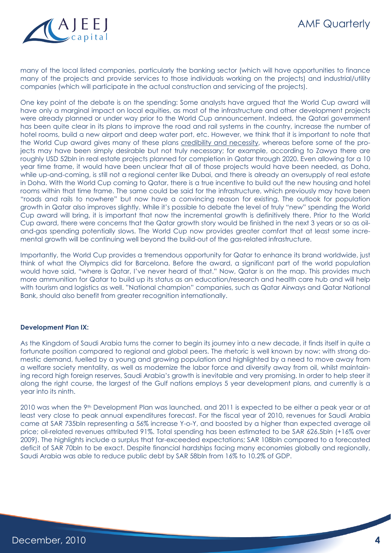

many of the local listed companies, particularly the banking sector (which will have opportunities to finance many of the projects and provide services to those individuals working on the projects) and industrial/utility companies (which will participate in the actual construction and servicing of the projects).

One key point of the debate is on the spending: Some analysts have argued that the World Cup award will have only a marginal impact on local equities, as most of the infrastructure and other development projects were already planned or under way prior to the World Cup announcement. Indeed, the Qatari government has been quite clear in its plans to improve the road and rail systems in the country, increase the number of hotel rooms, build a new airport and deep water port, etc. However, we think that it is important to note that the World Cup award gives many of these plans credibility and necessity, whereas before some of the projects may have been simply desirable but not truly necessary; for example, according to Zawya there are roughly USD 52bln in real estate projects planned for completion in Qatar through 2020. Even allowing for a 10 year time frame, it would have been unclear that all of those projects would have been needed, as Doha, while up-and-coming, is still not a regional center like Dubai, and there is already an oversupply of real estate in Doha. With the World Cup coming to Qatar, there is a true incentive to build out the new housing and hotel rooms within that time frame. The same could be said for the infrastructure, which previously may have been "roads and rails to nowhere" but now have a convincing reason for existing. The outlook for population growth in Qatar also improves slightly. While it's possible to debate the level of truly "new" spending the World Cup award will bring, it is important that now the incremental growth is definitively there. Prior to the World Cup award, there were concerns that the Qatar growth story would be finished in the next 3 years or so as oiland-gas spending potentially slows. The World Cup now provides greater comfort that at least some incremental growth will be continuing well beyond the build-out of the gas-related infrastructure.

Importantly, the World Cup provides a tremendous opportunity for Qatar to enhance its brand worldwide, just think of what the Olympics did for Barcelona. Before the award, a significant part of the world population would have said, "where is Qatar, I've never heard of that." Now, Qatar is on the map. This provides much more ammunition for Qatar to build up its status as an education/research and health care hub and will help with tourism and logistics as well. "National champion" companies, such as Qatar Airways and Qatar National Bank, should also benefit from greater recognition internationally.

#### **Development Plan IX:**

As the Kingdom of Saudi Arabia turns the corner to begin its journey into a new decade, it finds itself in quite a fortunate position compared to regional and global peers. The rhetoric is well known by now: with strong domestic demand, fuelled by a young and growing population and highlighted by a need to move away from a welfare society mentality, as well as modernize the labor force and diversify away from oil, whilst maintaining record high foreign reserves, Saudi Arabia's growth is inevitable and very promising. In order to help steer it along the right course, the largest of the Gulf nations employs 5 year development plans, and currently is a year into its ninth.

2010 was when the 9th Development Plan was launched, and 2011 is expected to be either a peak year or at least very close to peak annual expenditures forecast. For the fiscal year of 2010, revenues for Saudi Arabia came at SAR 735bln representing a 56% increase Y-o-Y, and boosted by a higher than expected average oil price; oil-related revenues attributed 91%. Total spending has been estimated to be SAR 626.5bln (+16% over 2009). The highlights include a surplus that far-exceeded expectations; SAR 108bln compared to a forecasted deficit of SAR 70bln to be exact. Despite financial hardships facing many economies globally and regionally, Saudi Arabia was able to reduce public debt by SAR 58bln from 16% to 10.2% of GDP.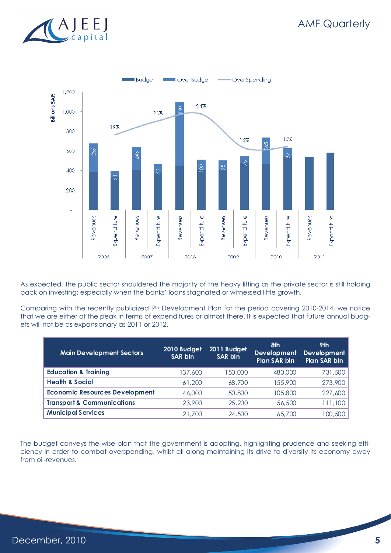



As expected, the public sector shouldered the majority of the heavy lifting as the private sector is still holding back on investing; especially when the banks' loans stagnated or witnessed little growth.

Comparing with the recently publicized 9th Development Plan for the period covering 2010-2014, we notice that we are either at the peak in terms of expenditures or almost there. It is expected that future annual budgets will not be as expansionary as 2011 or 2012.

| <b>Main Development Sectors</b>       | 2010 Budget<br><b>SAR bln</b> | 2011 Budget<br>SAR bln | 8th<br><b>Development</b><br><b>Plan SAR bln</b> | 9th<br>Development<br><b>Plan SAR bln</b> |
|---------------------------------------|-------------------------------|------------------------|--------------------------------------------------|-------------------------------------------|
| <b>Education &amp; Training</b>       | 137,600                       | 150,000                | 480,000                                          | 731,500                                   |
| <b>Health &amp; Social</b>            | 61,200                        | 68,700                 | 155,900                                          | 273,900                                   |
| <b>Economic Resources Development</b> | 46,000                        | 50,800                 | 105,800                                          | 227,600                                   |
| <b>Transport &amp; Communications</b> | 23,900                        | 25,200                 | 56,500                                           | 111,100                                   |
| <b>Municipal Services</b>             | 21,700                        | 24,500                 | 65,700                                           | 100,500                                   |

The budget conveys the wise plan that the government is adopting, highlighting prudence and seeking efficiency in order to combat overspending, whilst all along maintaining its drive to diversify its economy away from oil-revenues.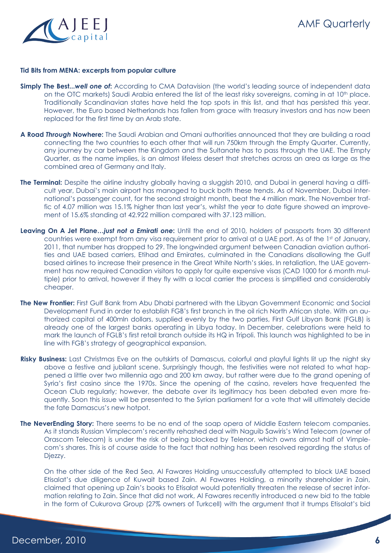

#### **Tid Bits from MENA: excerpts from popular culture**

- **Simply The Best...***well one of***:** According to CMA Datavision (the world's leading source of independent data on the OTC markets) Saudi Arabia entered the list of the least risky sovereigns, coming in at 10<sup>th</sup> place. Traditionally Scandinavian states have held the top spots in this list, and that has persisted this year. However, the Euro based Netherlands has fallen from grace with treasury investors and has now been replaced for the first time by an Arab state.
- **A Road** *Through* **Nowhere:** The Saudi Arabian and Omani authorities announced that they are building a road connecting the two countries to each other that will run 750km through the Empty Quarter. Currently, any journey by car between the Kingdom and the Sultanate has to pass through the UAE. The Empty Quarter, as the name implies, is an almost lifeless desert that stretches across an area as large as the combined area of Germany and Italy.
- **The Terminal:** Despite the airline industry globally having a sluggish 2010, and Dubai in general having a difficult year, Dubai's main airport has managed to buck both these trends. As of November, Dubai International's passenger count, for the second straight month, beat the 4 million mark. The November traffic of 4.07 million was 15.1% higher than last year's, whilst the year to date figure showed an improvement of 15.6% standing at 42.922 million compared with 37.123 million.
- **Leaving On A Jet Plane...***just not a Emirati one*: Until the end of 2010, holders of passports from 30 different countries were exempt from any visa requirement prior to arrival at a UAE port. As of the 1st of January, 2011, that number has dropped to 29. The longwinded argument between Canadian aviation authorities and UAE based carriers, Etihad and Emirates, culminated in the Canadians disallowing the Gulf based airlines to increase their presence in the Great White North's skies. In retaliation, the UAE government has now required Canadian visitors to apply for quite expensive visas (CAD 1000 for 6 month multiple) prior to arrival, however if they fly with a local carrier the process is simplified and considerably cheaper.
- **The New Frontier:** First Gulf Bank from Abu Dhabi partnered with the Libyan Government Economic and Social Development Fund in order to establish FGB's first branch in the oil rich North African state. With an authorized capital of 400mln dollars, supplied evenly by the two parties, First Gulf Libyan Bank (FGLB) is already one of the largest banks operating in Libya today. In December, celebrations were held to mark the launch of FGLB's first retail branch outside its HQ in Tripoli. This launch was highlighted to be in line with FGB's strategy of geographical expansion.
- **Risky Business:** Last Christmas Eve on the outskirts of Damascus, colorful and playful lights lit up the night sky above a festive and jubilant scene. Surprisingly though, the festivities were not related to what happened a little over two millennia ago and 200 km away, but rather were due to the grand opening of Syria's first casino since the 1970s. Since the opening of the casino, revelers have frequented the Ocean Club regularly; however, the debate over its legitimacy has been debated even more frequently. Soon this issue will be presented to the Syrian parliament for a vote that will ultimately decide the fate Damascus's new hotpot.
- **The NeverEnding Story:** There seems to be no end of the soap opera of Middle Eastern telecom companies. As it stands Russian Vimplecom's recently rehashed deal with Naguib Sawiris's Wind Telecom (owner of Orascom Telecom) is under the risk of being blocked by Telenor, which owns almost half of Vimplecom's shares. This is of course aside to the fact that nothing has been resolved regarding the status of Djezzy.

On the other side of the Red Sea, Al Fawares Holding unsuccessfully attempted to block UAE based Etisalat's due diligence of Kuwait based Zain. Al Fawares Holding, a minority shareholder in Zain, claimed that opening up Zain's books to Etisalat would potentially threaten the release of secret information relating to Zain. Since that did not work, Al Fawares recently introduced a new bid to the table in the form of Cukurova Group (27% owners of Turkcell) with the argument that it trumps Etisalat's bid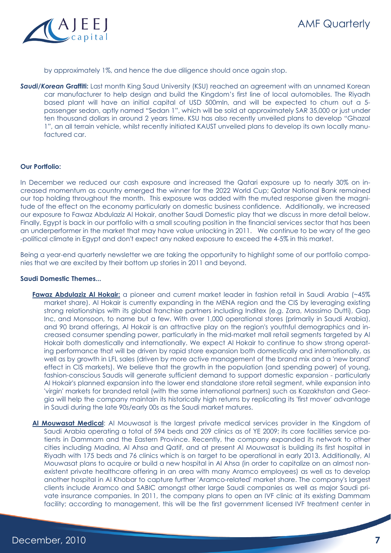



by approximately 1%, and hence the due diligence should once again stop.

**Saudi/Korean Graffiti:** Last month King Saud University (KSU) reached an agreement with an unnamed Korean car manufacturer to help design and build the Kingdom's first line of local automobiles. The Riyadh based plant will have an initial capital of USD 500mln, and will be expected to churn out a 5 passenger sedan, aptly named "Sedan 1", which will be sold at approximately SAR 35,000 or just under ten thousand dollars in around 2 years time. KSU has also recently unveiled plans to develop "Ghazal 1", an all terrain vehicle, whilst recently initiated KAUST unveiled plans to develop its own locally manufactured car.

#### **Our Portfolio:**

In December we reduced our cash exposure and increased the Qatari exposure up to nearly 30% on increased momentum as country emerged the winner for the 2022 World Cup; Qatar National Bank remained our top holding throughout the month. This exposure was added with the muted response given the magnitude of the effect on the economy particularly on domestic business confidence. Additionally, we increased our exposure to Fawaz Abdulaziz Al Hokair, another Saudi Domestic play that we discuss in more detail below. Finally, Egypt is back in our portfolio with a small scouting position in the financial services sector that has been an underperformer in the market that may have value unlocking in 2011. We continue to be wary of the geo -political climate in Egypt and don't expect any naked exposure to exceed the 4-5% in this market.

Being a year-end quarterly newsletter we are taking the opportunity to highlight some of our portfolio companies that we are excited by their bottom up stories in 2011 and beyond.

#### **Saudi Domestic Themes...**

- **Fawaz Abdulaziz Al Hokair:** a pioneer and current market leader in fashion retail in Saudi Arabia (~45% market share). Al Hokair is currently expanding in the MENA region and the CIS by leveraging existing strong relationships with its global franchise partners including Inditex (e.g. Zara, Massimo Dutti), Gap Inc, and Monsoon, to name but a few. With over 1,000 operational stores (primarily in Saudi Arabia), and 90 brand offerings, Al Hokair is an attractive play on the region's youthful demographics and increased consumer spending power, particularly in the mid-market mall retail segments targeted by Al Hokair both domestically and internationally. We expect Al Hokair to continue to show strong operating performance that will be driven by rapid store expansion both domestically and internationally, as well as by growth in LFL sales (driven by more active management of the brand mix and a 'new brand' effect in CIS markets). We believe that the growth in the population (and spending power) of young, fashion-conscious Saudis will generate sufficient demand to support domestic expansion - particularly Al Hokair's planned expansion into the lower end standalone store retail segment, while expansion into 'virgin' markets for branded retail (with the same international partners) such as Kazakhstan and Georgia will help the company maintain its historically high returns by replicating its 'first mover' advantage in Saudi during the late 90s/early 00s as the Saudi market matures.
- **Al Mouwasat Medical**: Al Mouwasat is the largest private medical services provider in the Kingdom of Saudi Arabia operating a total of 594 beds and 209 clinics as of YE 2009; its core facilities service patients in Dammam and the Eastern Province. Recently, the company expanded its network to other cities including Madina, Al Ahsa and Qatif, and at present Al Mouwasat is building its first hospital in Riyadh with 175 beds and 76 clinics which is on target to be operational in early 2013. Additionally, Al Mouwasat plans to acquire or build a new hospital in Al Ahsa (in order to capitalize on an almost nonexistent private healthcare offering in an area with many Aramco employees) as well as to develop another hospital in Al Khobar to capture further 'Aramco-related' market share. The company's largest clients include Aramco and SABIC amongst other large Saudi companies as well as major Saudi private insurance companies. In 2011, the company plans to open an IVF clinic at its existing Dammam facility; according to management, this will be the first government licensed IVF treatment center in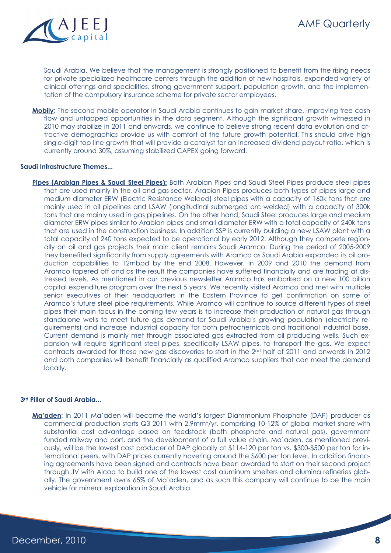

Saudi Arabia. We believe that the management is strongly positioned to benefit from the rising needs for private specialized healthcare centers through the addition of new hospitals, expanded variety of clinical offerings and specialities, strong government support, population growth, and the implementation of the compulsory insurance scheme for private sector employees.

**Mobily**: The second mobile operator in Saudi Arabia continues to gain market share, improving free cash flow and untapped opportunities in the data segment. Although the significant growth witnessed in 2010 may stabilize in 2011 and onwards, we continue to believe strong recent data evolution and attractive demographics provide us with comfort of the future growth potential. This should drive high single-digit top line growth that will provide a catalyst for an increased dividend payout ratio, which is currently around 30%, assuming stabilized CAPEX going forward.

#### **Saudi Infrastructure Themes...**

**Pipes (Arabian Pipes & Saudi Steel Pipes):** Both Arabian Pipes and Saudi Steel Pipes produce steel pipes that are used mainly in the oil and gas sector. Arabian Pipes produces both types of pipes large and medium diameter ERW (Electric Resistance Welded) steel pipes with a capacity of 160k tons that are mainly used in oil pipelines and LSAW (longitudinal submerged arc welded) with a capacity of 300k tons that are mainly used in gas pipelines. On the other hand, Saudi Steel produces large and medium diameter ERW pipes similar to Arabian pipes and small diameter ERW with a total capacity of 240k tons that are used in the construction business. In addition SSP is currently building a new LSAW plant with a total capacity of 240 tons expected to be operational by early 2012. Although they compete regionally on oil and gas projects their main client remains Saudi Aramco. During the period of 2005-2009 they benefited significantly from supply agreements with Aramco as Saudi Arabia expanded its oil production capabilities to 12mbpd by the end 2008. However, in 2009 and 2010 the demand from Aramco tapered off and as the result the companies have suffered financially and are trading at distressed levels. As mentioned in our previous newsletter Aramco has embarked on a new 100 billion capital expenditure program over the next 5 years. We recently visited Aramco and met with multiple senior executives at their headquarters in the Eastern Province to get confirmation on some of Aramco's future steel pipe requirements. While Aramco will continue to source different types of steel pipes their main focus in the coming few years is to increase their production of natural gas through standalone wells to meet future gas demand for Saudi Arabia's growing population (electricity requirements) and increase industrial capacity for both petrochemicals and traditional industrial base. Current demand is mainly met through associated gas extracted from oil producing wells. Such expansion will require significant steel pipes, specifically LSAW pipes, to transport the gas. We expect contracts awarded for these new gas discoveries to start in the 2nd half of 2011 and onwards in 2012 and both companies will benefit financially as qualified Aramco suppliers that can meet the demand locally.

#### **3rd Pillar of Saudi Arabia...**

**Ma'aden**: In 2011 Ma'aden will become the world's largest Diammonium Phosphate (DAP) producer as commercial production starts Q3 2011 with 2.9mmt/yr, comprising 10-12% of global market share with substantial cost advantage based on feedstock (both phosphate and natural gas), government funded railway and port, and the development of a full value chain. Ma'aden, as mentioned previously, will be the lowest cost producer of DAP globally at \$114-120 per ton vs. \$300-\$500 per ton for international peers, with DAP prices currently hovering around the \$600 per ton level. In addition financing agreements have been signed and contracts have been awarded to start on their second project through JV with Alcoa to build one of the lowest cost aluminum smelters and alumina refineries globally. The government owns 65% of Ma'aden, and as such this company will continue to be the main vehicle for mineral exploration in Saudi Arabia.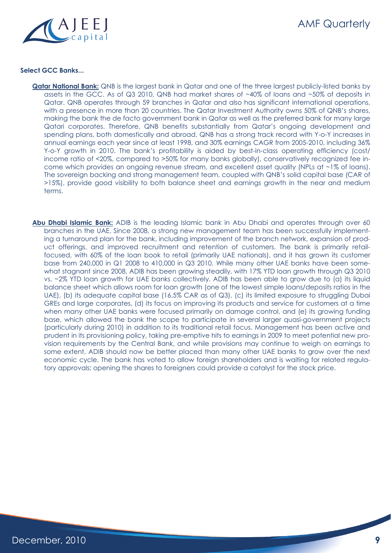

### **Select GCC Banks...**

- **Qatar National Bank:** QNB is the largest bank in Qatar and one of the three largest publicly-listed banks by assets in the GCC. As of Q3 2010, QNB had market shares of ~40% of loans and ~50% of deposits in Qatar. QNB operates through 59 branches in Qatar and also has significant international operations, with a presence in more than 20 countries. The Qatar Investment Authority owns 50% of QNB's shares, making the bank the de facto government bank in Qatar as well as the preferred bank for many large Qatari corporates. Therefore, QNB benefits substantially from Qatar's ongoing development and spending plans, both domestically and abroad. QNB has a strong track record with Y-o-Y increases in annual earnings each year since at least 1998, and 30% earnings CAGR from 2005-2010, including 36% Y-o-Y growth in 2010. The bank's profitability is aided by best-in-class operating efficiency (cost/ income ratio of <20%, compared to >50% for many banks globally), conservatively recognized fee income which provides an ongoing revenue stream, and excellent asset quality (NPLs at ~1% of loans). The sovereign backing and strong management team, coupled with QNB's solid capital base (CAR of >15%), provide good visibility to both balance sheet and earnings growth in the near and medium terms.
- **Abu Dhabi Islamic Bank:** ADIB is the leading Islamic bank in Abu Dhabi and operates through over 60 branches in the UAE. Since 2008, a strong new management team has been successfully implementing a turnaround plan for the bank, including improvement of the branch network, expansion of product offerings, and improved recruitment and retention of customers. The bank is primarily retailfocused, with 60% of the loan book to retail (primarily UAE nationals), and it has grown its customer base from 240,000 in Q1 2008 to 410,000 in Q3 2010. While many other UAE banks have been somewhat stagnant since 2008, ADIB has been growing steadily, with 17% YTD loan growth through Q3 2010 vs. ~2% YTD loan growth for UAE banks collectively. ADIB has been able to grow due to (a) its liquid balance sheet which allows room for loan growth (one of the lowest simple loans/deposits ratios in the UAE), (b) its adequate capital base (16.5% CAR as of Q3), (c) its limited exposure to struggling Dubai GREs and large corporates, (d) its focus on improving its products and service for customers at a time when many other UAE banks were focused primarily on damage control, and (e) its growing funding base, which allowed the bank the scope to participate in several larger quasi-government projects (particularly during 2010) in addition to its traditional retail focus. Management has been active and prudent in its provisioning policy, taking pre-emptive hits to earnings in 2009 to meet potential new provision requirements by the Central Bank, and while provisions may continue to weigh on earnings to some extent, ADIB should now be better placed than many other UAE banks to grow over the next economic cycle. The bank has voted to allow foreign shareholders and is waiting for related regulatory approvals; opening the shares to foreigners could provide a catalyst for the stock price.